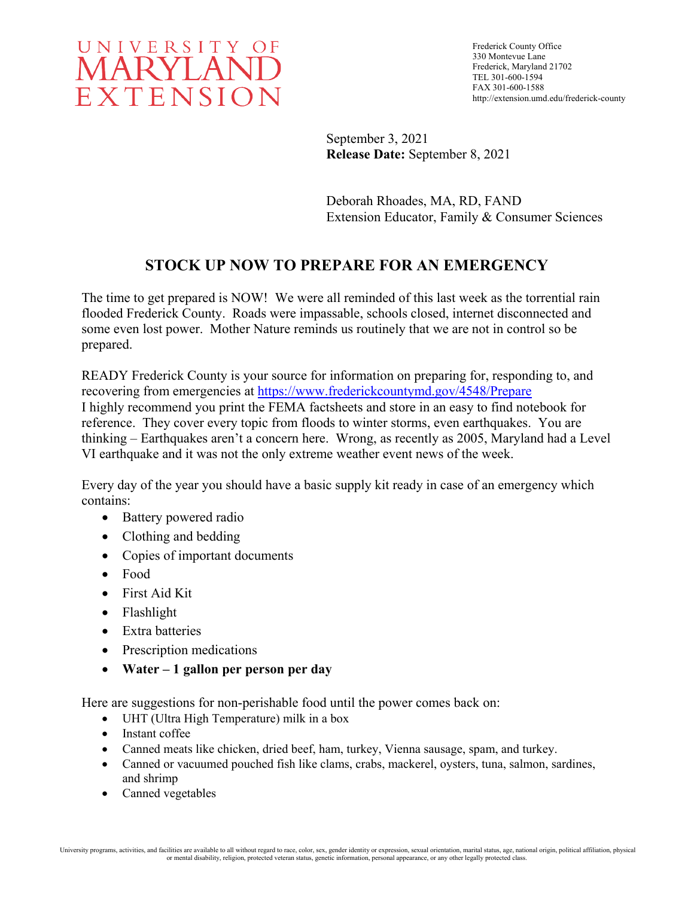

Frederick County Office 330 Montevue Lane Frederick, Maryland 21702 TEL 301-600-1594 FAX 301-600-1588 http://extension.umd.edu/frederick-county

September 3, 2021 **Release Date:** September 8, 2021

Deborah Rhoades, MA, RD, FAND Extension Educator, Family & Consumer Sciences

## **STOCK UP NOW TO PREPARE FOR AN EMERGENCY**

The time to get prepared is NOW! We were all reminded of this last week as the torrential rain flooded Frederick County. Roads were impassable, schools closed, internet disconnected and some even lost power. Mother Nature reminds us routinely that we are not in control so be prepared.

READY Frederick County is your source for information on preparing for, responding to, and recovering from emergencies at<https://www.frederickcountymd.gov/4548/Prepare> I highly recommend you print the FEMA factsheets and store in an easy to find notebook for reference. They cover every topic from floods to winter storms, even earthquakes. You are thinking – Earthquakes aren't a concern here. Wrong, as recently as 2005, Maryland had a Level VI earthquake and it was not the only extreme weather event news of the week.

Every day of the year you should have a basic supply kit ready in case of an emergency which contains:

- Battery powered radio
- Clothing and bedding
- Copies of important documents
- Food
- First Aid Kit
- Flashlight
- Extra batteries
- Prescription medications
- **Water – 1 gallon per person per day**

Here are suggestions for non-perishable food until the power comes back on:

- UHT (Ultra High Temperature) milk in a box
- Instant coffee
- Canned meats like chicken, dried beef, ham, turkey, Vienna sausage, spam, and turkey.
- Canned or vacuumed pouched fish like clams, crabs, mackerel, oysters, tuna, salmon, sardines, and shrimp
- Canned vegetables